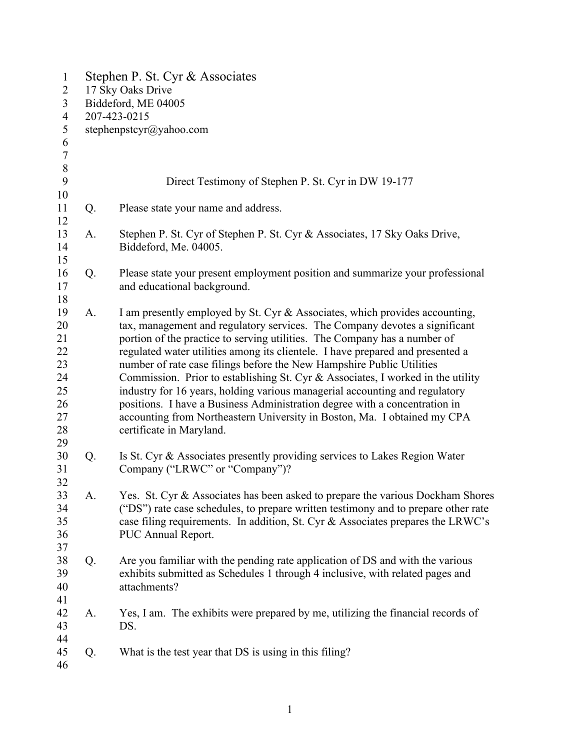| $\mathbf{1}$<br>$\overline{2}$<br>$\overline{3}$<br>$\overline{4}$<br>5 | Stephen P. St. Cyr & Associates<br>17 Sky Oaks Drive<br>Biddeford, ME 04005<br>207-423-0215<br>stephenpstcyr@yahoo.com |                                                                                                                                                                                                                                                                                                                                                                                                                                                                                                                                                                                                                                                                                                                                                           |  |  |
|-------------------------------------------------------------------------|------------------------------------------------------------------------------------------------------------------------|-----------------------------------------------------------------------------------------------------------------------------------------------------------------------------------------------------------------------------------------------------------------------------------------------------------------------------------------------------------------------------------------------------------------------------------------------------------------------------------------------------------------------------------------------------------------------------------------------------------------------------------------------------------------------------------------------------------------------------------------------------------|--|--|
| $\sqrt{6}$<br>$\tau$<br>$\,8\,$                                         |                                                                                                                        |                                                                                                                                                                                                                                                                                                                                                                                                                                                                                                                                                                                                                                                                                                                                                           |  |  |
| 9<br>10                                                                 |                                                                                                                        | Direct Testimony of Stephen P. St. Cyr in DW 19-177                                                                                                                                                                                                                                                                                                                                                                                                                                                                                                                                                                                                                                                                                                       |  |  |
| 11<br>12                                                                | Q.                                                                                                                     | Please state your name and address.                                                                                                                                                                                                                                                                                                                                                                                                                                                                                                                                                                                                                                                                                                                       |  |  |
| 13<br>14<br>15                                                          | A.                                                                                                                     | Stephen P. St. Cyr of Stephen P. St. Cyr & Associates, 17 Sky Oaks Drive,<br>Biddeford, Me. 04005.                                                                                                                                                                                                                                                                                                                                                                                                                                                                                                                                                                                                                                                        |  |  |
| 16<br>17<br>18                                                          | Q.                                                                                                                     | Please state your present employment position and summarize your professional<br>and educational background.                                                                                                                                                                                                                                                                                                                                                                                                                                                                                                                                                                                                                                              |  |  |
| 19<br>20<br>21<br>22<br>23<br>24<br>25<br>26<br>27<br>28<br>29          | A.                                                                                                                     | I am presently employed by St. Cyr & Associates, which provides accounting,<br>tax, management and regulatory services. The Company devotes a significant<br>portion of the practice to serving utilities. The Company has a number of<br>regulated water utilities among its clientele. I have prepared and presented a<br>number of rate case filings before the New Hampshire Public Utilities<br>Commission. Prior to establishing St. Cyr & Associates, I worked in the utility<br>industry for 16 years, holding various managerial accounting and regulatory<br>positions. I have a Business Administration degree with a concentration in<br>accounting from Northeastern University in Boston, Ma. I obtained my CPA<br>certificate in Maryland. |  |  |
| 30<br>31<br>32                                                          | Q.                                                                                                                     | Is St. Cyr & Associates presently providing services to Lakes Region Water<br>Company ("LRWC" or "Company")?                                                                                                                                                                                                                                                                                                                                                                                                                                                                                                                                                                                                                                              |  |  |
| 33<br>34<br>35<br>36<br>37                                              | A.                                                                                                                     | Yes. St. Cyr & Associates has been asked to prepare the various Dockham Shores<br>("DS") rate case schedules, to prepare written testimony and to prepare other rate<br>case filing requirements. In addition, St. Cyr & Associates prepares the LRWC's<br>PUC Annual Report.                                                                                                                                                                                                                                                                                                                                                                                                                                                                             |  |  |
| 38<br>39<br>40<br>41                                                    | Q.                                                                                                                     | Are you familiar with the pending rate application of DS and with the various<br>exhibits submitted as Schedules 1 through 4 inclusive, with related pages and<br>attachments?                                                                                                                                                                                                                                                                                                                                                                                                                                                                                                                                                                            |  |  |
| 42<br>43<br>44                                                          | A.                                                                                                                     | Yes, I am. The exhibits were prepared by me, utilizing the financial records of<br>DS.                                                                                                                                                                                                                                                                                                                                                                                                                                                                                                                                                                                                                                                                    |  |  |
| 45<br>46                                                                | Q.                                                                                                                     | What is the test year that DS is using in this filing?                                                                                                                                                                                                                                                                                                                                                                                                                                                                                                                                                                                                                                                                                                    |  |  |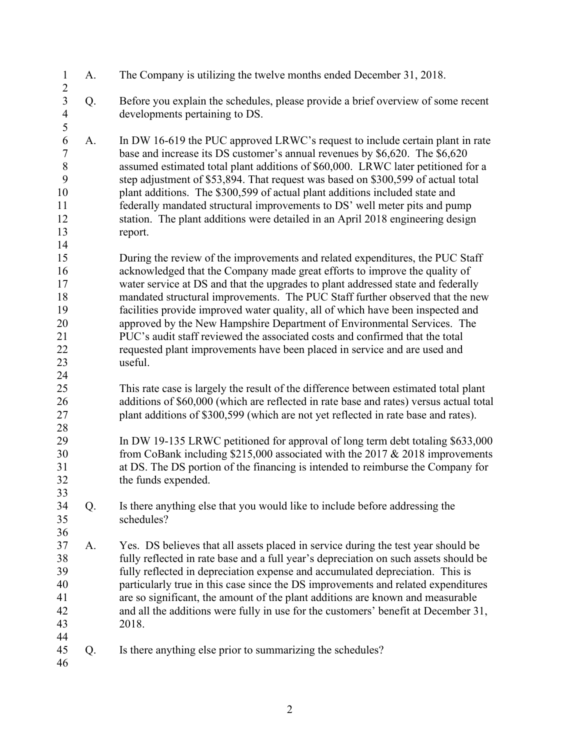| $\mathbf{1}$<br>$\overline{c}$                                  | A. | The Company is utilizing the twelve months ended December 31, 2018.                                                                                                                                                                                                                                                                                                                                                                                                                                                                                                                                                                                                    |
|-----------------------------------------------------------------|----|------------------------------------------------------------------------------------------------------------------------------------------------------------------------------------------------------------------------------------------------------------------------------------------------------------------------------------------------------------------------------------------------------------------------------------------------------------------------------------------------------------------------------------------------------------------------------------------------------------------------------------------------------------------------|
| $\overline{\mathbf{3}}$<br>$\overline{4}$<br>5                  | Q. | Before you explain the schedules, please provide a brief overview of some recent<br>developments pertaining to DS.                                                                                                                                                                                                                                                                                                                                                                                                                                                                                                                                                     |
| 6<br>$\overline{7}$<br>$8\,$<br>9<br>10<br>11<br>12<br>13<br>14 | A. | In DW 16-619 the PUC approved LRWC's request to include certain plant in rate<br>base and increase its DS customer's annual revenues by \$6,620. The \$6,620<br>assumed estimated total plant additions of \$60,000. LRWC later petitioned for a<br>step adjustment of \$53,894. That request was based on \$300,599 of actual total<br>plant additions. The \$300,599 of actual plant additions included state and<br>federally mandated structural improvements to DS' well meter pits and pump<br>station. The plant additions were detailed in an April 2018 engineering design<br>report.                                                                         |
| 15<br>16<br>17<br>18<br>19<br>20<br>21<br>22<br>23<br>24        |    | During the review of the improvements and related expenditures, the PUC Staff<br>acknowledged that the Company made great efforts to improve the quality of<br>water service at DS and that the upgrades to plant addressed state and federally<br>mandated structural improvements. The PUC Staff further observed that the new<br>facilities provide improved water quality, all of which have been inspected and<br>approved by the New Hampshire Department of Environmental Services. The<br>PUC's audit staff reviewed the associated costs and confirmed that the total<br>requested plant improvements have been placed in service and are used and<br>useful. |
| 25<br>26<br>27<br>28                                            |    | This rate case is largely the result of the difference between estimated total plant<br>additions of \$60,000 (which are reflected in rate base and rates) versus actual total<br>plant additions of \$300,599 (which are not yet reflected in rate base and rates).                                                                                                                                                                                                                                                                                                                                                                                                   |
| 29<br>30<br>31<br>32<br>33                                      |    | In DW 19-135 LRWC petitioned for approval of long term debt totaling \$633,000<br>from CoBank including \$215,000 associated with the 2017 $&$ 2018 improvements<br>at DS. The DS portion of the financing is intended to reimburse the Company for<br>the funds expended.                                                                                                                                                                                                                                                                                                                                                                                             |
| 34<br>35<br>36                                                  | Q. | Is there anything else that you would like to include before addressing the<br>schedules?                                                                                                                                                                                                                                                                                                                                                                                                                                                                                                                                                                              |
| 37<br>38<br>39<br>40<br>41<br>42<br>43<br>44                    | A. | Yes. DS believes that all assets placed in service during the test year should be<br>fully reflected in rate base and a full year's depreciation on such assets should be<br>fully reflected in depreciation expense and accumulated depreciation. This is<br>particularly true in this case since the DS improvements and related expenditures<br>are so significant, the amount of the plant additions are known and measurable<br>and all the additions were fully in use for the customers' benefit at December 31,<br>2018.                                                                                                                                       |
| 45<br>46                                                        | Q. | Is there anything else prior to summarizing the schedules?                                                                                                                                                                                                                                                                                                                                                                                                                                                                                                                                                                                                             |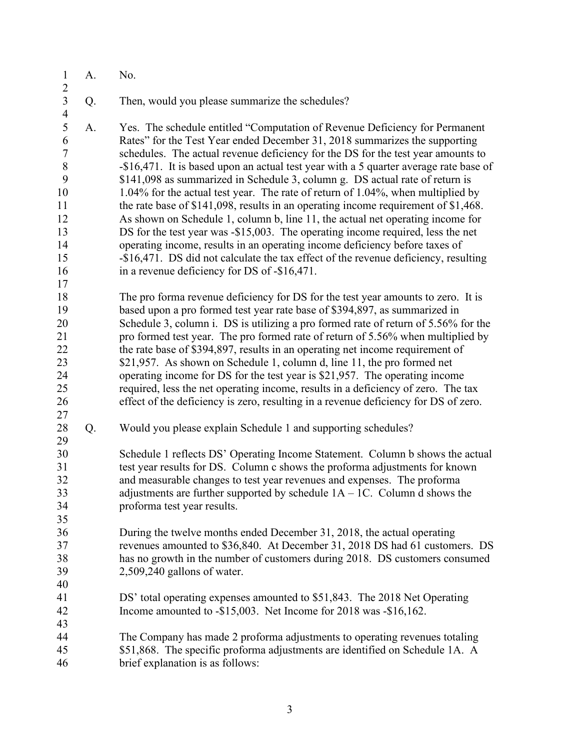| $\mathbf{1}$<br>$\overline{2}$                                                            | A. | No.                                                                                                                                                                                                                                                                                                                                                                                                                                                                                                                                                                                                                                                                                                                                                                                                                                                                                                                                                                                        |
|-------------------------------------------------------------------------------------------|----|--------------------------------------------------------------------------------------------------------------------------------------------------------------------------------------------------------------------------------------------------------------------------------------------------------------------------------------------------------------------------------------------------------------------------------------------------------------------------------------------------------------------------------------------------------------------------------------------------------------------------------------------------------------------------------------------------------------------------------------------------------------------------------------------------------------------------------------------------------------------------------------------------------------------------------------------------------------------------------------------|
| $\mathfrak{Z}$<br>$\overline{4}$                                                          | Q. | Then, would you please summarize the schedules?                                                                                                                                                                                                                                                                                                                                                                                                                                                                                                                                                                                                                                                                                                                                                                                                                                                                                                                                            |
| 5<br>6<br>$\boldsymbol{7}$<br>$\, 8$<br>9<br>10<br>11<br>12<br>13<br>14<br>15<br>16<br>17 | A. | Yes. The schedule entitled "Computation of Revenue Deficiency for Permanent<br>Rates" for the Test Year ended December 31, 2018 summarizes the supporting<br>schedules. The actual revenue deficiency for the DS for the test year amounts to<br>-\$16,471. It is based upon an actual test year with a 5 quarter average rate base of<br>\$141,098 as summarized in Schedule 3, column g. DS actual rate of return is<br>1.04% for the actual test year. The rate of return of 1.04%, when multiplied by<br>the rate base of \$141,098, results in an operating income requirement of \$1,468.<br>As shown on Schedule 1, column b, line 11, the actual net operating income for<br>DS for the test year was -\$15,003. The operating income required, less the net<br>operating income, results in an operating income deficiency before taxes of<br>-\$16,471. DS did not calculate the tax effect of the revenue deficiency, resulting<br>in a revenue deficiency for DS of -\$16,471. |
| 18<br>19<br>20<br>21<br>22<br>23<br>24<br>25<br>26<br>27                                  |    | The pro forma revenue deficiency for DS for the test year amounts to zero. It is<br>based upon a pro formed test year rate base of \$394,897, as summarized in<br>Schedule 3, column i. DS is utilizing a pro formed rate of return of 5.56% for the<br>pro formed test year. The pro formed rate of return of 5.56% when multiplied by<br>the rate base of \$394,897, results in an operating net income requirement of<br>\$21,957. As shown on Schedule 1, column d, line 11, the pro formed net<br>operating income for DS for the test year is \$21,957. The operating income<br>required, less the net operating income, results in a deficiency of zero. The tax<br>effect of the deficiency is zero, resulting in a revenue deficiency for DS of zero.                                                                                                                                                                                                                             |
| 28<br>29                                                                                  | Q. | Would you please explain Schedule 1 and supporting schedules?                                                                                                                                                                                                                                                                                                                                                                                                                                                                                                                                                                                                                                                                                                                                                                                                                                                                                                                              |
| 30<br>31<br>32<br>33<br>34<br>35                                                          |    | Schedule 1 reflects DS' Operating Income Statement. Column b shows the actual<br>test year results for DS. Column c shows the proforma adjustments for known<br>and measurable changes to test year revenues and expenses. The proforma<br>adjustments are further supported by schedule $1A - 1C$ . Column d shows the<br>proforma test year results.                                                                                                                                                                                                                                                                                                                                                                                                                                                                                                                                                                                                                                     |
| 36<br>37<br>38<br>39<br>40                                                                |    | During the twelve months ended December 31, 2018, the actual operating<br>revenues amounted to \$36,840. At December 31, 2018 DS had 61 customers. DS<br>has no growth in the number of customers during 2018. DS customers consumed<br>2,509,240 gallons of water.                                                                                                                                                                                                                                                                                                                                                                                                                                                                                                                                                                                                                                                                                                                        |
| 41<br>42<br>43                                                                            |    | DS' total operating expenses amounted to \$51,843. The 2018 Net Operating<br>Income amounted to -\$15,003. Net Income for 2018 was -\$16,162.                                                                                                                                                                                                                                                                                                                                                                                                                                                                                                                                                                                                                                                                                                                                                                                                                                              |
| 44<br>45<br>46                                                                            |    | The Company has made 2 proforma adjustments to operating revenues totaling<br>\$51,868. The specific proforma adjustments are identified on Schedule 1A. A<br>brief explanation is as follows:                                                                                                                                                                                                                                                                                                                                                                                                                                                                                                                                                                                                                                                                                                                                                                                             |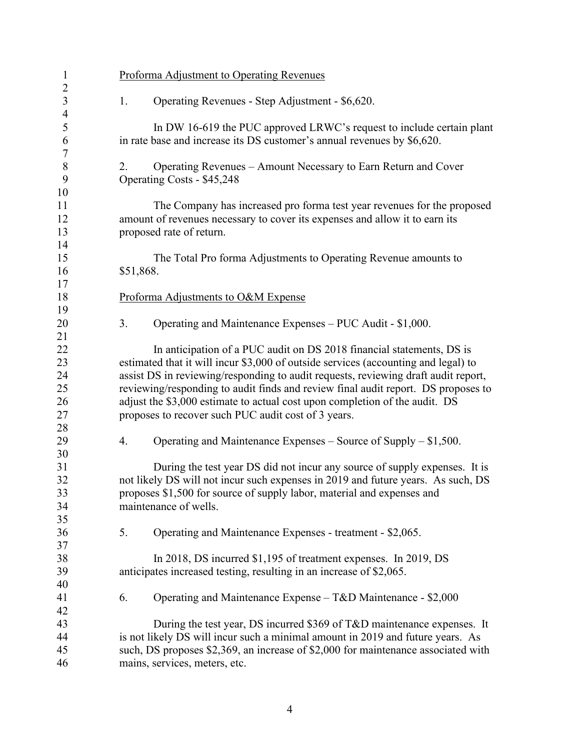| $\mathbf{1}$                     |           | <b>Proforma Adjustment to Operating Revenues</b>                                             |
|----------------------------------|-----------|----------------------------------------------------------------------------------------------|
| $\overline{c}$<br>$\mathfrak{Z}$ | 1.        | Operating Revenues - Step Adjustment - \$6,620.                                              |
| $\overline{4}$                   |           |                                                                                              |
| 5                                |           | In DW 16-619 the PUC approved LRWC's request to include certain plant                        |
| 6<br>$\tau$                      |           | in rate base and increase its DS customer's annual revenues by \$6,620.                      |
| $\,$ $\,$<br>9                   | 2.        | Operating Revenues – Amount Necessary to Earn Return and Cover<br>Operating Costs - \$45,248 |
| 10                               |           |                                                                                              |
| 11                               |           | The Company has increased pro forma test year revenues for the proposed                      |
| 12                               |           | amount of revenues necessary to cover its expenses and allow it to earn its                  |
| 13                               |           | proposed rate of return.                                                                     |
| 14                               |           |                                                                                              |
| 15                               |           | The Total Pro forma Adjustments to Operating Revenue amounts to                              |
| 16                               | \$51,868. |                                                                                              |
| 17                               |           |                                                                                              |
| 18                               |           | Proforma Adjustments to O&M Expense                                                          |
| 19                               |           |                                                                                              |
| 20                               | 3.        | Operating and Maintenance Expenses - PUC Audit - \$1,000.                                    |
| 21                               |           |                                                                                              |
| 22                               |           | In anticipation of a PUC audit on DS 2018 financial statements, DS is                        |
| 23                               |           | estimated that it will incur \$3,000 of outside services (accounting and legal) to           |
| 24                               |           | assist DS in reviewing/responding to audit requests, reviewing draft audit report,           |
| 25                               |           | reviewing/responding to audit finds and review final audit report. DS proposes to            |
| 26                               |           | adjust the \$3,000 estimate to actual cost upon completion of the audit. DS                  |
| 27                               |           | proposes to recover such PUC audit cost of 3 years.                                          |
| 28                               |           |                                                                                              |
| 29                               | 4.        | Operating and Maintenance Expenses – Source of Supply – $$1,500$ .                           |
| 30                               |           |                                                                                              |
| 31                               |           | During the test year DS did not incur any source of supply expenses. It is                   |
| 32                               |           | not likely DS will not incur such expenses in 2019 and future years. As such, DS             |
| 33                               |           | proposes \$1,500 for source of supply labor, material and expenses and                       |
|                                  |           | maintenance of wells.                                                                        |
| 34                               |           |                                                                                              |
| 35                               |           |                                                                                              |
| 36                               | 5.        | Operating and Maintenance Expenses - treatment - \$2,065.                                    |
| 37                               |           |                                                                                              |
| 38                               |           | In 2018, DS incurred \$1,195 of treatment expenses. In 2019, DS                              |
| 39                               |           | anticipates increased testing, resulting in an increase of \$2,065.                          |
| 40                               |           |                                                                                              |
| 41                               | 6.        | Operating and Maintenance Expense - T&D Maintenance - \$2,000                                |
| 42                               |           |                                                                                              |
| 43                               |           | During the test year, DS incurred \$369 of T&D maintenance expenses. It                      |
| 44                               |           | is not likely DS will incur such a minimal amount in 2019 and future years. As               |
| 45                               |           | such, DS proposes \$2,369, an increase of \$2,000 for maintenance associated with            |
| 46                               |           | mains, services, meters, etc.                                                                |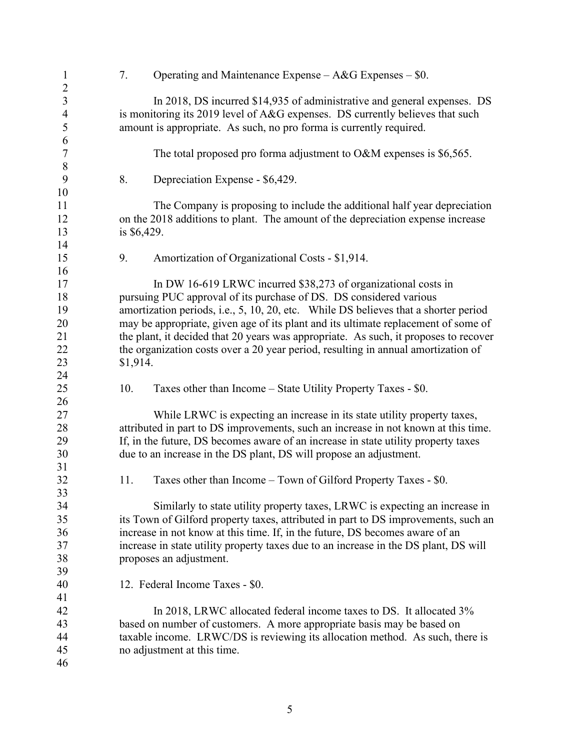| $\mathbf{1}$                     | 7.            | Operating and Maintenance Expense $- A & G$ Expenses $-$ \$0.                        |
|----------------------------------|---------------|--------------------------------------------------------------------------------------|
| $\overline{c}$<br>$\overline{3}$ |               |                                                                                      |
|                                  |               | In 2018, DS incurred \$14,935 of administrative and general expenses. DS             |
| $\overline{4}$                   |               | is monitoring its 2019 level of A&G expenses. DS currently believes that such        |
| 5                                |               | amount is appropriate. As such, no pro forma is currently required.                  |
| 6                                |               |                                                                                      |
| $\tau$                           |               | The total proposed pro forma adjustment to $O\&M$ expenses is \$6,565.               |
| $\,8\,$                          |               |                                                                                      |
| 9                                | 8.            | Depreciation Expense - \$6,429.                                                      |
| 10                               |               |                                                                                      |
| 11                               |               | The Company is proposing to include the additional half year depreciation            |
| 12                               |               | on the 2018 additions to plant. The amount of the depreciation expense increase      |
| 13                               | is $$6,429$ . |                                                                                      |
| 14                               |               |                                                                                      |
| 15                               | 9.            | Amortization of Organizational Costs - \$1,914.                                      |
| 16                               |               |                                                                                      |
| 17                               |               | In DW 16-619 LRWC incurred \$38,273 of organizational costs in                       |
| 18                               |               | pursuing PUC approval of its purchase of DS. DS considered various                   |
| 19                               |               | amortization periods, i.e., 5, 10, 20, etc. While DS believes that a shorter period  |
| 20                               |               | may be appropriate, given age of its plant and its ultimate replacement of some of   |
| 21                               |               | the plant, it decided that 20 years was appropriate. As such, it proposes to recover |
| 22                               |               | the organization costs over a 20 year period, resulting in annual amortization of    |
| 23                               | \$1,914.      |                                                                                      |
| 24                               |               |                                                                                      |
| 25                               | 10.           | Taxes other than Income – State Utility Property Taxes - \$0.                        |
| 26                               |               |                                                                                      |
| 27                               |               | While LRWC is expecting an increase in its state utility property taxes,             |
| 28                               |               | attributed in part to DS improvements, such an increase in not known at this time.   |
| 29                               |               | If, in the future, DS becomes aware of an increase in state utility property taxes   |
| 30                               |               | due to an increase in the DS plant, DS will propose an adjustment.                   |
| 31                               |               |                                                                                      |
| 32                               | 11.           | Taxes other than Income – Town of Gilford Property Taxes - \$0.                      |
| 33                               |               |                                                                                      |
| 34                               |               | Similarly to state utility property taxes, LRWC is expecting an increase in          |
| 35                               |               | its Town of Gilford property taxes, attributed in part to DS improvements, such an   |
| 36                               |               | increase in not know at this time. If, in the future, DS becomes aware of an         |
| 37                               |               | increase in state utility property taxes due to an increase in the DS plant, DS will |
| 38                               |               | proposes an adjustment.                                                              |
| 39                               |               |                                                                                      |
| 40                               |               | 12. Federal Income Taxes - \$0.                                                      |
| 41                               |               |                                                                                      |
| 42                               |               | In 2018, LRWC allocated federal income taxes to DS. It allocated 3%                  |
| 43                               |               | based on number of customers. A more appropriate basis may be based on               |
| 44                               |               | taxable income. LRWC/DS is reviewing its allocation method. As such, there is        |
| 45                               |               | no adjustment at this time.                                                          |
| 46                               |               |                                                                                      |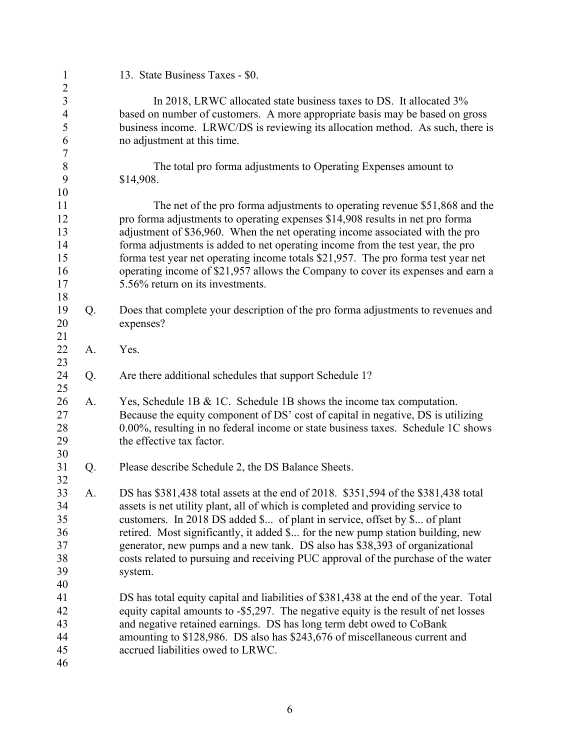| $\mathbf{1}$                       |    | 13. State Business Taxes - \$0.                                                                                                                    |
|------------------------------------|----|----------------------------------------------------------------------------------------------------------------------------------------------------|
| $\boldsymbol{2}$<br>$\mathfrak{Z}$ |    | In 2018, LRWC allocated state business taxes to DS. It allocated 3%                                                                                |
| $\overline{4}$                     |    | based on number of customers. A more appropriate basis may be based on gross                                                                       |
| 5                                  |    | business income. LRWC/DS is reviewing its allocation method. As such, there is                                                                     |
| 6                                  |    | no adjustment at this time.                                                                                                                        |
| $\boldsymbol{7}$                   |    |                                                                                                                                                    |
| $\, 8$                             |    | The total pro forma adjustments to Operating Expenses amount to                                                                                    |
| 9                                  |    | \$14,908.                                                                                                                                          |
| 10                                 |    |                                                                                                                                                    |
| 11                                 |    | The net of the pro forma adjustments to operating revenue \$51,868 and the                                                                         |
| 12                                 |    | pro forma adjustments to operating expenses \$14,908 results in net pro forma                                                                      |
| 13                                 |    | adjustment of \$36,960. When the net operating income associated with the pro                                                                      |
| 14                                 |    | forma adjustments is added to net operating income from the test year, the pro                                                                     |
| 15                                 |    | forma test year net operating income totals \$21,957. The pro forma test year net                                                                  |
| 16                                 |    | operating income of \$21,957 allows the Company to cover its expenses and earn a                                                                   |
| 17                                 |    | 5.56% return on its investments.                                                                                                                   |
| 18                                 |    |                                                                                                                                                    |
| 19                                 | Q. | Does that complete your description of the pro forma adjustments to revenues and                                                                   |
| 20                                 |    | expenses?                                                                                                                                          |
| 21                                 |    |                                                                                                                                                    |
| 22<br>23                           | A. | Yes.                                                                                                                                               |
| 24                                 | Q. | Are there additional schedules that support Schedule 1?                                                                                            |
| 25                                 |    |                                                                                                                                                    |
| 26                                 | A. | Yes, Schedule 1B & 1C. Schedule 1B shows the income tax computation.                                                                               |
| 27                                 |    | Because the equity component of DS' cost of capital in negative, DS is utilizing                                                                   |
| 28                                 |    | 0.00%, resulting in no federal income or state business taxes. Schedule 1C shows                                                                   |
| 29                                 |    | the effective tax factor.                                                                                                                          |
| 30                                 |    |                                                                                                                                                    |
| 31                                 | Q. | Please describe Schedule 2, the DS Balance Sheets.                                                                                                 |
| 32                                 |    |                                                                                                                                                    |
| 33                                 | А. | DS has \$381,438 total assets at the end of 2018. \$351,594 of the \$381,438 total                                                                 |
| 34                                 |    | assets is net utility plant, all of which is completed and providing service to                                                                    |
| 35                                 |    | customers. In 2018 DS added \$ of plant in service, offset by \$ of plant                                                                          |
| 36                                 |    | retired. Most significantly, it added \$ for the new pump station building, new                                                                    |
| 37                                 |    | generator, new pumps and a new tank. DS also has \$38,393 of organizational                                                                        |
| 38                                 |    | costs related to pursuing and receiving PUC approval of the purchase of the water                                                                  |
| 39                                 |    | system.                                                                                                                                            |
| 40                                 |    |                                                                                                                                                    |
| 41                                 |    | DS has total equity capital and liabilities of \$381,438 at the end of the year. Total                                                             |
| 42<br>43                           |    | equity capital amounts to -\$5,297. The negative equity is the result of net losses                                                                |
| 44                                 |    | and negative retained earnings. DS has long term debt owed to CoBank<br>amounting to \$128,986. DS also has \$243,676 of miscellaneous current and |
| 45                                 |    | accrued liabilities owed to LRWC.                                                                                                                  |
| 46                                 |    |                                                                                                                                                    |
|                                    |    |                                                                                                                                                    |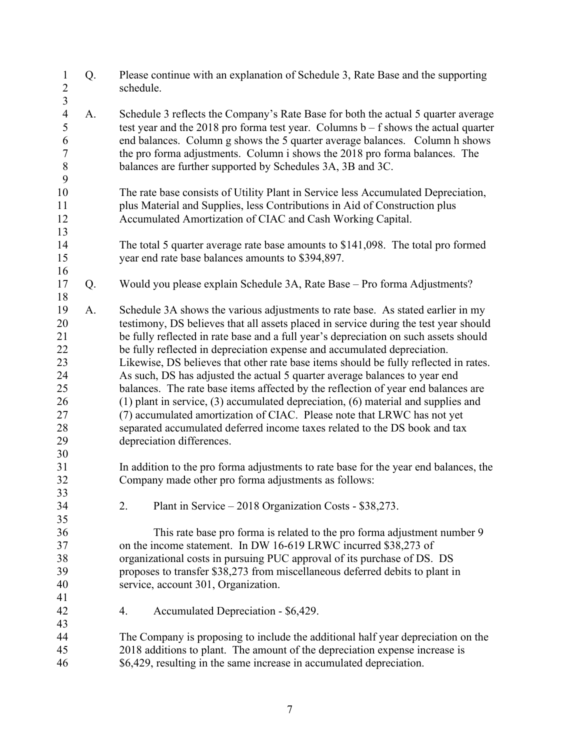| $\mathbf{1}$<br>$\frac{2}{3}$                                        | Q. | Please continue with an explanation of Schedule 3, Rate Base and the supporting<br>schedule.                                                                                                                                                                                                                                                                                                                                                                                                                                                                                                                                                                                                                                                                                                                                                                                            |
|----------------------------------------------------------------------|----|-----------------------------------------------------------------------------------------------------------------------------------------------------------------------------------------------------------------------------------------------------------------------------------------------------------------------------------------------------------------------------------------------------------------------------------------------------------------------------------------------------------------------------------------------------------------------------------------------------------------------------------------------------------------------------------------------------------------------------------------------------------------------------------------------------------------------------------------------------------------------------------------|
| $\overline{4}$<br>5<br>6<br>$\boldsymbol{7}$<br>$\,$ $\,$<br>9       | A. | Schedule 3 reflects the Company's Rate Base for both the actual 5 quarter average<br>test year and the 2018 pro forma test year. Columns $b - f$ shows the actual quarter<br>end balances. Column g shows the 5 quarter average balances. Column h shows<br>the pro forma adjustments. Column i shows the 2018 pro forma balances. The<br>balances are further supported by Schedules 3A, 3B and 3C.                                                                                                                                                                                                                                                                                                                                                                                                                                                                                    |
| 10<br>11<br>12<br>13                                                 |    | The rate base consists of Utility Plant in Service less Accumulated Depreciation,<br>plus Material and Supplies, less Contributions in Aid of Construction plus<br>Accumulated Amortization of CIAC and Cash Working Capital.                                                                                                                                                                                                                                                                                                                                                                                                                                                                                                                                                                                                                                                           |
| 14<br>15<br>16                                                       |    | The total 5 quarter average rate base amounts to \$141,098. The total pro formed<br>year end rate base balances amounts to \$394,897.                                                                                                                                                                                                                                                                                                                                                                                                                                                                                                                                                                                                                                                                                                                                                   |
| 17<br>18                                                             | Q. | Would you please explain Schedule 3A, Rate Base - Pro forma Adjustments?                                                                                                                                                                                                                                                                                                                                                                                                                                                                                                                                                                                                                                                                                                                                                                                                                |
| 19<br>20<br>21<br>22<br>23<br>24<br>25<br>26<br>27<br>28<br>29<br>30 | A. | Schedule 3A shows the various adjustments to rate base. As stated earlier in my<br>testimony, DS believes that all assets placed in service during the test year should<br>be fully reflected in rate base and a full year's depreciation on such assets should<br>be fully reflected in depreciation expense and accumulated depreciation.<br>Likewise, DS believes that other rate base items should be fully reflected in rates.<br>As such, DS has adjusted the actual 5 quarter average balances to year end<br>balances. The rate base items affected by the reflection of year end balances are<br>$(1)$ plant in service, $(3)$ accumulated depreciation, $(6)$ material and supplies and<br>(7) accumulated amortization of CIAC. Please note that LRWC has not yet<br>separated accumulated deferred income taxes related to the DS book and tax<br>depreciation differences. |
| 31<br>32<br>33                                                       |    | In addition to the pro forma adjustments to rate base for the year end balances, the<br>Company made other pro forma adjustments as follows:                                                                                                                                                                                                                                                                                                                                                                                                                                                                                                                                                                                                                                                                                                                                            |
| 34<br>35                                                             |    | Plant in Service – 2018 Organization Costs - \$38,273.<br>2.                                                                                                                                                                                                                                                                                                                                                                                                                                                                                                                                                                                                                                                                                                                                                                                                                            |
| 36<br>37<br>38<br>39<br>40<br>41                                     |    | This rate base pro forma is related to the pro forma adjustment number 9<br>on the income statement. In DW 16-619 LRWC incurred \$38,273 of<br>organizational costs in pursuing PUC approval of its purchase of DS. DS<br>proposes to transfer \$38,273 from miscellaneous deferred debits to plant in<br>service, account 301, Organization.                                                                                                                                                                                                                                                                                                                                                                                                                                                                                                                                           |
| 42<br>43                                                             |    | Accumulated Depreciation - \$6,429.<br>4.                                                                                                                                                                                                                                                                                                                                                                                                                                                                                                                                                                                                                                                                                                                                                                                                                                               |
| 44                                                                   |    | The Company is proposing to include the additional half year depreciation on the                                                                                                                                                                                                                                                                                                                                                                                                                                                                                                                                                                                                                                                                                                                                                                                                        |
| 45                                                                   |    | 2018 additions to plant. The amount of the depreciation expense increase is                                                                                                                                                                                                                                                                                                                                                                                                                                                                                                                                                                                                                                                                                                                                                                                                             |
| 46                                                                   |    | \$6,429, resulting in the same increase in accumulated depreciation.                                                                                                                                                                                                                                                                                                                                                                                                                                                                                                                                                                                                                                                                                                                                                                                                                    |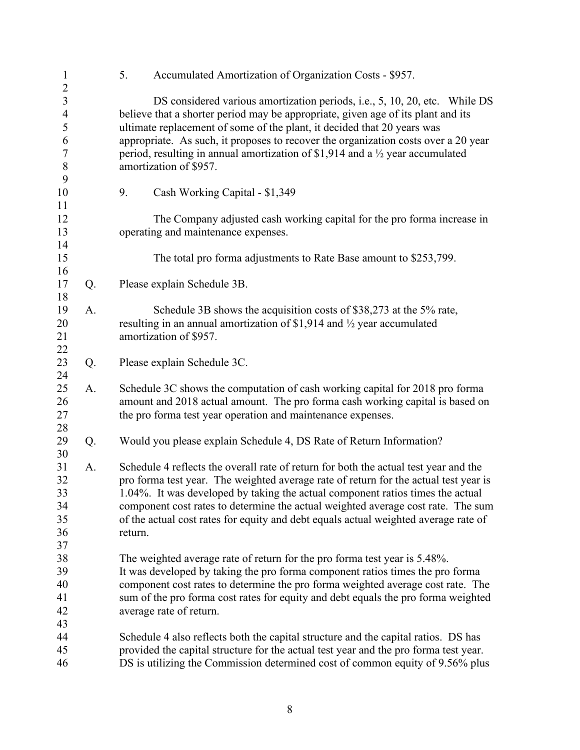| $\mathbf{1}$                     |    | 5.      | Accumulated Amortization of Organization Costs - \$957.                                                                                                                    |
|----------------------------------|----|---------|----------------------------------------------------------------------------------------------------------------------------------------------------------------------------|
| $\overline{c}$<br>$\mathfrak{Z}$ |    |         | DS considered various amortization periods, i.e., 5, 10, 20, etc. While DS                                                                                                 |
| $\overline{4}$                   |    |         | believe that a shorter period may be appropriate, given age of its plant and its                                                                                           |
| 5                                |    |         | ultimate replacement of some of the plant, it decided that 20 years was                                                                                                    |
| 6                                |    |         | appropriate. As such, it proposes to recover the organization costs over a 20 year                                                                                         |
| $\tau$                           |    |         | period, resulting in annual amortization of \$1,914 and a $\frac{1}{2}$ year accumulated                                                                                   |
| $\,8\,$                          |    |         | amortization of \$957.                                                                                                                                                     |
| 9                                |    |         |                                                                                                                                                                            |
| 10                               |    | 9.      | Cash Working Capital - \$1,349                                                                                                                                             |
| 11                               |    |         |                                                                                                                                                                            |
| 12                               |    |         | The Company adjusted cash working capital for the pro forma increase in                                                                                                    |
| 13                               |    |         | operating and maintenance expenses.                                                                                                                                        |
| 14                               |    |         |                                                                                                                                                                            |
| 15                               |    |         | The total pro forma adjustments to Rate Base amount to \$253,799.                                                                                                          |
| 16                               |    |         |                                                                                                                                                                            |
| 17                               | Q. |         | Please explain Schedule 3B.                                                                                                                                                |
| 18                               |    |         |                                                                                                                                                                            |
| 19                               | A. |         | Schedule 3B shows the acquisition costs of \$38,273 at the 5% rate,                                                                                                        |
| 20                               |    |         | resulting in an annual amortization of \$1,914 and $\frac{1}{2}$ year accumulated                                                                                          |
| 21<br>22                         |    |         | amortization of \$957.                                                                                                                                                     |
| 23                               | Q. |         | Please explain Schedule 3C.                                                                                                                                                |
| 24                               |    |         |                                                                                                                                                                            |
| 25                               | A. |         | Schedule 3C shows the computation of cash working capital for 2018 pro forma                                                                                               |
| 26                               |    |         | amount and 2018 actual amount. The pro forma cash working capital is based on                                                                                              |
| 27                               |    |         | the pro forma test year operation and maintenance expenses.                                                                                                                |
| 28                               |    |         |                                                                                                                                                                            |
| 29                               | Q. |         | Would you please explain Schedule 4, DS Rate of Return Information?                                                                                                        |
| 30                               |    |         |                                                                                                                                                                            |
| 31                               | A. |         | Schedule 4 reflects the overall rate of return for both the actual test year and the                                                                                       |
| 32                               |    |         | pro forma test year. The weighted average rate of return for the actual test year is                                                                                       |
| 33                               |    |         | 1.04%. It was developed by taking the actual component ratios times the actual                                                                                             |
| 34                               |    |         | component cost rates to determine the actual weighted average cost rate. The sum                                                                                           |
| 35                               |    |         | of the actual cost rates for equity and debt equals actual weighted average rate of                                                                                        |
| 36                               |    | return. |                                                                                                                                                                            |
| 37                               |    |         |                                                                                                                                                                            |
| 38                               |    |         | The weighted average rate of return for the pro forma test year is 5.48%.                                                                                                  |
| 39                               |    |         | It was developed by taking the pro forma component ratios times the pro forma                                                                                              |
| 40                               |    |         | component cost rates to determine the pro forma weighted average cost rate. The                                                                                            |
| 41                               |    |         | sum of the pro forma cost rates for equity and debt equals the pro forma weighted                                                                                          |
| 42                               |    |         | average rate of return.                                                                                                                                                    |
| 43<br>44                         |    |         |                                                                                                                                                                            |
| 45                               |    |         | Schedule 4 also reflects both the capital structure and the capital ratios. DS has<br>provided the capital structure for the actual test year and the pro forma test year. |
| 46                               |    |         | DS is utilizing the Commission determined cost of common equity of 9.56% plus                                                                                              |
|                                  |    |         |                                                                                                                                                                            |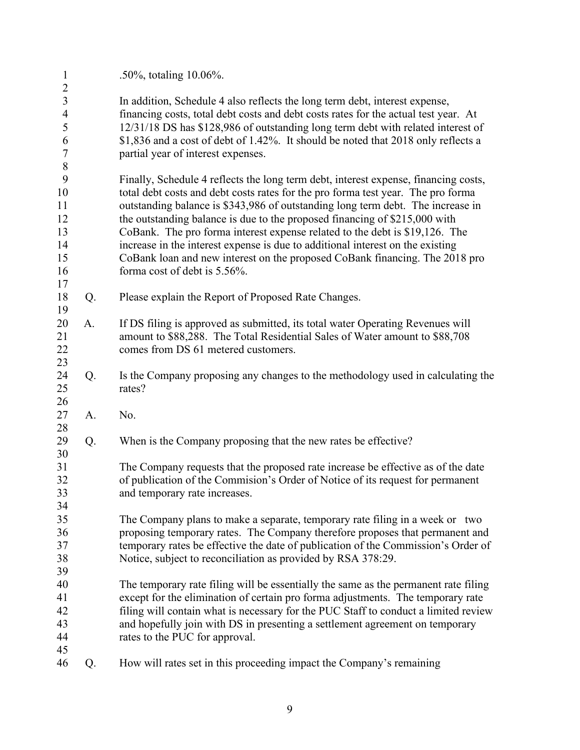| $\mathbf{1}$                     |    | .50%, totaling 10.06%.                                                                                         |
|----------------------------------|----|----------------------------------------------------------------------------------------------------------------|
| $\overline{2}$<br>$\mathfrak{Z}$ |    | In addition, Schedule 4 also reflects the long term debt, interest expense,                                    |
| $\overline{4}$                   |    | financing costs, total debt costs and debt costs rates for the actual test year. At                            |
| 5                                |    | 12/31/18 DS has \$128,986 of outstanding long term debt with related interest of                               |
| 6                                |    | \$1,836 and a cost of debt of 1.42%. It should be noted that 2018 only reflects a                              |
| $\boldsymbol{7}$                 |    | partial year of interest expenses.                                                                             |
| $8\,$                            |    |                                                                                                                |
| 9                                |    | Finally, Schedule 4 reflects the long term debt, interest expense, financing costs,                            |
| 10                               |    | total debt costs and debt costs rates for the pro forma test year. The pro forma                               |
| 11                               |    | outstanding balance is \$343,986 of outstanding long term debt. The increase in                                |
| 12                               |    | the outstanding balance is due to the proposed financing of \$215,000 with                                     |
| 13                               |    | CoBank. The pro forma interest expense related to the debt is \$19,126. The                                    |
| 14                               |    | increase in the interest expense is due to additional interest on the existing                                 |
| 15                               |    | CoBank loan and new interest on the proposed CoBank financing. The 2018 pro                                    |
| 16                               |    | forma cost of debt is 5.56%.                                                                                   |
| 17                               |    |                                                                                                                |
| 18                               | Q. | Please explain the Report of Proposed Rate Changes.                                                            |
| 19                               |    |                                                                                                                |
| 20                               | A. | If DS filing is approved as submitted, its total water Operating Revenues will                                 |
| 21                               |    | amount to \$88,288. The Total Residential Sales of Water amount to \$88,708                                    |
| 22<br>23                         |    | comes from DS 61 metered customers.                                                                            |
| 24                               | Q. | Is the Company proposing any changes to the methodology used in calculating the                                |
| 25                               |    | rates?                                                                                                         |
| 26                               |    |                                                                                                                |
| 27                               | A. | No.                                                                                                            |
| 28                               |    |                                                                                                                |
| 29                               | Q. | When is the Company proposing that the new rates be effective?                                                 |
| 30                               |    |                                                                                                                |
| 31                               |    | The Company requests that the proposed rate increase be effective as of the date                               |
| 32                               |    | of publication of the Commision's Order of Notice of its request for permanent                                 |
| 33                               |    | and temporary rate increases.                                                                                  |
| 34                               |    |                                                                                                                |
| 35                               |    | The Company plans to make a separate, temporary rate filing in a week or two                                   |
| 36                               |    | proposing temporary rates. The Company therefore proposes that permanent and                                   |
| 37                               |    | temporary rates be effective the date of publication of the Commission's Order of                              |
| 38                               |    | Notice, subject to reconciliation as provided by RSA 378:29.                                                   |
| 39                               |    |                                                                                                                |
| 40                               |    | The temporary rate filing will be essentially the same as the permanent rate filing                            |
| 41                               |    | except for the elimination of certain pro forma adjustments. The temporary rate                                |
| 42<br>43                         |    | filing will contain what is necessary for the PUC Staff to conduct a limited review                            |
| 44                               |    | and hopefully join with DS in presenting a settlement agreement on temporary<br>rates to the PUC for approval. |
| 45                               |    |                                                                                                                |
| 46                               | Q. | How will rates set in this proceeding impact the Company's remaining                                           |